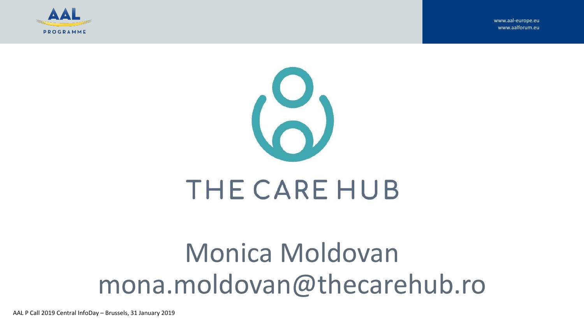

www.aal-europe.eu www.aalforum.eu



# Monica Moldovan mona.moldovan@thecarehub.ro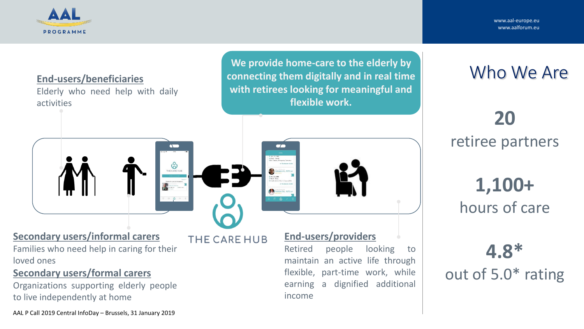

www.aal-europe.eu www.aalforum.eu

#### **End-users/beneficiaries**

Elderly who need help with daily activities

**We provide home-care to the elderly by connecting them digitally and in real time with retirees looking for meaningful and flexible work.** 



**20**  retiree partners

> **1,100+** hours of care

**4.8\***  out of 5.0\* rating

**Secondary users/informal carers**

Families who need help in caring for their loved ones

#### **Secondary users/formal carers**

Organizations supporting elderly people to live independently at home

AAL P Call 2019 Central InfoDay – Brussels, 31 January 2019

THE CARE HUB

THE CARE HUB

 $\blacksquare$ 

**End-users/providers**

Retired people looking to maintain an active life through flexible, part-time work, while earning a dignified additional income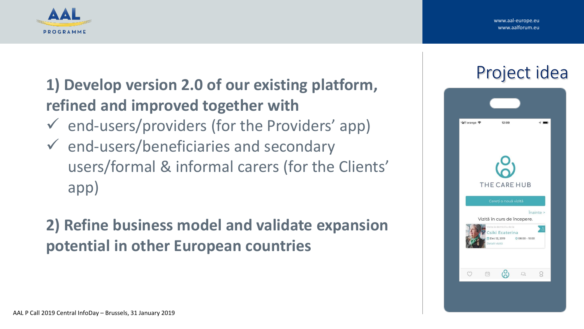www.aal-europe.eu www.aalforum.eu



### **1) Develop version 2.0 of our existing platform, refined and improved together with**

- $\checkmark$  end-users/providers (for the Providers' app)
- $\checkmark$  end-users/beneficiaries and secondary users/formal & informal carers (for the Clients' app)

### **2) Refine business model and validate expansion potential in other European countries**

## Project idea